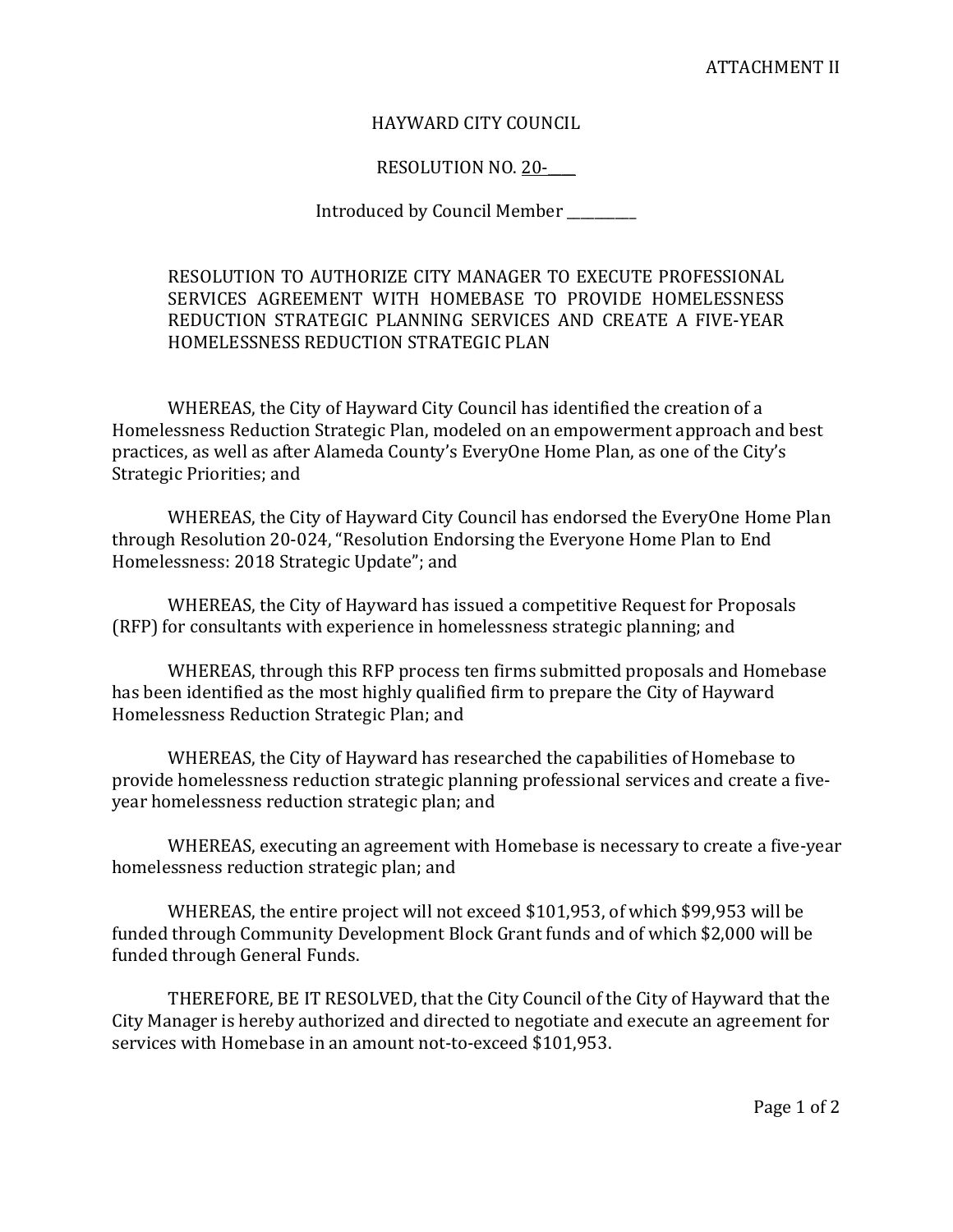## HAYWARD CITY COUNCIL

## RESOLUTION NO. 20-

Introduced by Council Member \_\_\_\_\_\_\_\_\_\_

RESOLUTION TO AUTHORIZE CITY MANAGER TO EXECUTE PROFESSIONAL SERVICES AGREEMENT WITH HOMEBASE TO PROVIDE HOMELESSNESS REDUCTION STRATEGIC PLANNING SERVICES AND CREATE A FIVE-YEAR HOMELESSNESS REDUCTION STRATEGIC PLAN

WHEREAS, the City of Hayward City Council has identified the creation of a Homelessness Reduction Strategic Plan, modeled on an empowerment approach and best practices, as well as after Alameda County's EveryOne Home Plan, as one of the City's Strategic Priorities; and

WHEREAS, the City of Hayward City Council has endorsed the EveryOne Home Plan through Resolution 20-024, "Resolution Endorsing the Everyone Home Plan to End Homelessness: 2018 Strategic Update"; and

WHEREAS, the City of Hayward has issued a competitive Request for Proposals (RFP) for consultants with experience in homelessness strategic planning; and

WHEREAS, through this RFP process ten firms submitted proposals and Homebase has been identified as the most highly qualified firm to prepare the City of Hayward Homelessness Reduction Strategic Plan; and

WHEREAS, the City of Hayward has researched the capabilities of Homebase to provide homelessness reduction strategic planning professional services and create a fiveyear homelessness reduction strategic plan; and

WHEREAS, executing an agreement with Homebase is necessary to create a five-year homelessness reduction strategic plan; and

WHEREAS, the entire project will not exceed \$101,953, of which \$99,953 will be funded through Community Development Block Grant funds and of which \$2,000 will be funded through General Funds.

THEREFORE, BE IT RESOLVED, that the City Council of the City of Hayward that the City Manager is hereby authorized and directed to negotiate and execute an agreement for services with Homebase in an amount not-to-exceed \$101,953.